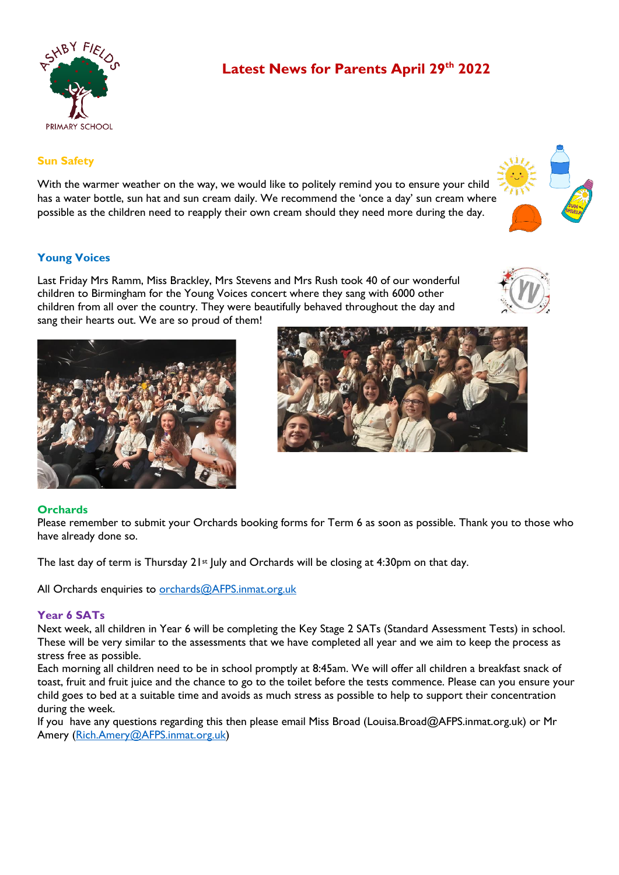

# **Latest News for Parents April 29th 2022**

# **Sun Safety**

With the warmer weather on the way, we would like to politely remind you to ensure your child has a water bottle, sun hat and sun cream daily. We recommend the 'once a day' sun cream where possible as the children need to reapply their own cream should they need more during the day.

# **Young Voices**

Last Friday Mrs Ramm, Miss Brackley, Mrs Stevens and Mrs Rush took 40 of our wonderful children to Birmingham for the Young Voices concert where they sang with 6000 other children from all over the country. They were beautifully behaved throughout the day and sang their hearts out. We are so proud of them!





# **Orchards**

Please remember to submit your Orchards booking forms for Term 6 as soon as possible. Thank you to those who have already done so.

The last day of term is Thursday  $21st$  July and Orchards will be closing at 4:30pm on that day.

All Orchards enquiries to [orchards@AFPS.inmat.org.uk](mailto:orchards@AFPS.inmat.org.uk)

# **Year 6 SATs**

Next week, all children in Year 6 will be completing the Key Stage 2 SATs (Standard Assessment Tests) in school. These will be very similar to the assessments that we have completed all year and we aim to keep the process as stress free as possible.

Each morning all children need to be in school promptly at 8:45am. We will offer all children a breakfast snack of toast, fruit and fruit juice and the chance to go to the toilet before the tests commence. Please can you ensure your child goes to bed at a suitable time and avoids as much stress as possible to help to support their concentration during the week.

If you have any questions regarding this then please email Miss Broad (Louisa.Broad@AFPS.inmat.org.uk) or Mr Amery [\(Rich.Amery@AFPS.inmat.org.uk\)](mailto:Rich.Amery@AFPS.inmat.org.uk)

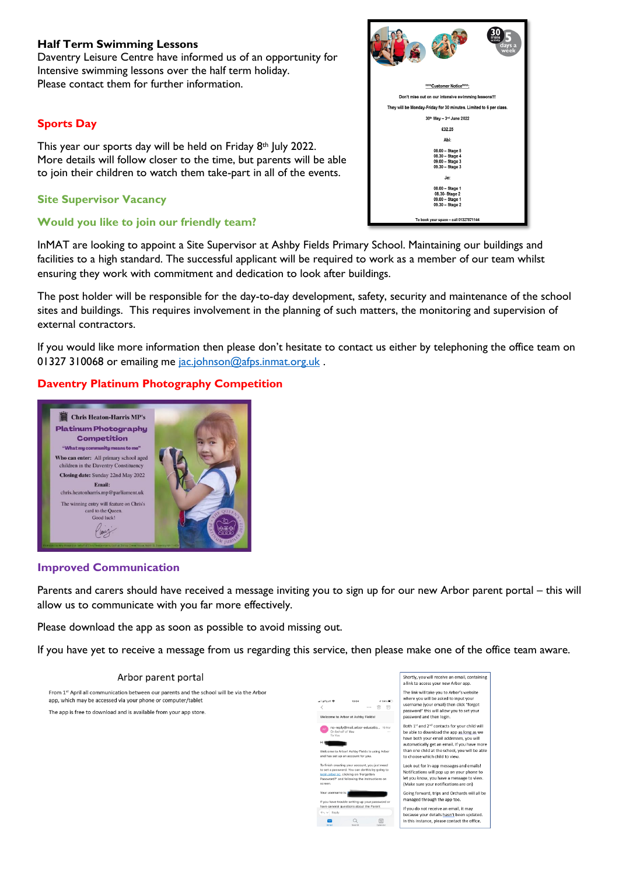# **Half Term Swimming Lessons**

Daventry Leisure Centre have informed us of an opportunity for Intensive swimming lessons over the half term holiday. Please contact them for further information.

### **Sports Day**

This year our sports day will be held on Friday 8th July 2022. More details will follow closer to the time, but parents will be able to join their children to watch them take-part in all of the events.

# **Site Supervisor Vacancy**

### **Would you like to join our friendly team?**

InMAT are looking to appoint a Site Supervisor at Ashby Fields Primary School. Maintaining our buildings and facilities to a high standard. The successful applicant will be required to work as a member of our team whilst ensuring they work with commitment and dedication to look after buildings.

The post holder will be responsible for the day-to-day development, safety, security and maintenance of the school sites and buildings. This requires involvement in the planning of such matters, the monitoring and supervision of external contractors.

If you would like more information then please don't hesitate to contact us either by telephoning the office team on 01327 310068 or emailing me [jac.johnson@afps.inmat.org.uk](mailto:jac.johnson@afps.inmat.org.uk).

# **Daventry Platinum Photography Competition**



#### **Improved Communication**

Parents and carers should have received a message inviting you to sign up for our new Arbor parent portal – this will allow us to communicate with you far more effectively.

Please download the app as soon as possible to avoid missing out.

If you have yet to receive a message from us regarding this service, then please make one of the office team aware.

#### Arbor parent portal Shortly, you will receive an email, containing a link to access your new Arbor ap From 1st April all communication between our parents and the school will be via the Arbor The link will take you to Arbor's website where you will be asked to input you app, which may be accessed via your phone or computer/tablet username (your email) then click "forgot  $\frac{1}{100}$  $\Box$ password" this will allow you to set your The app is free to download and is available from your app store. password this will allow<br>password and then login a to Arbor at Achby Eigidel Both  $1^{st}$  and  $2^{nd}$  contacts for your child will<br>be able to download the app as long as we<br>have both your email addresses, you will<br>automatically get an email. If you have more than one child at the school, you will be able to choose which child to view Look out for in-app messages and emails! Look out for in-app messages and emails:<br>Notifications will pop up on your phone to<br>let you know, you have a message to view.<br>(Make sure your notifications are on) Going forward, trips and Orchards will all be<br>managed through the app too. ave trouble setting up your passv<br>ineral questions about the Parent If you do not receive an email, it may because your details hasn't been updated  $Q$  $\boxed{24}$ In this instance, please contact the office

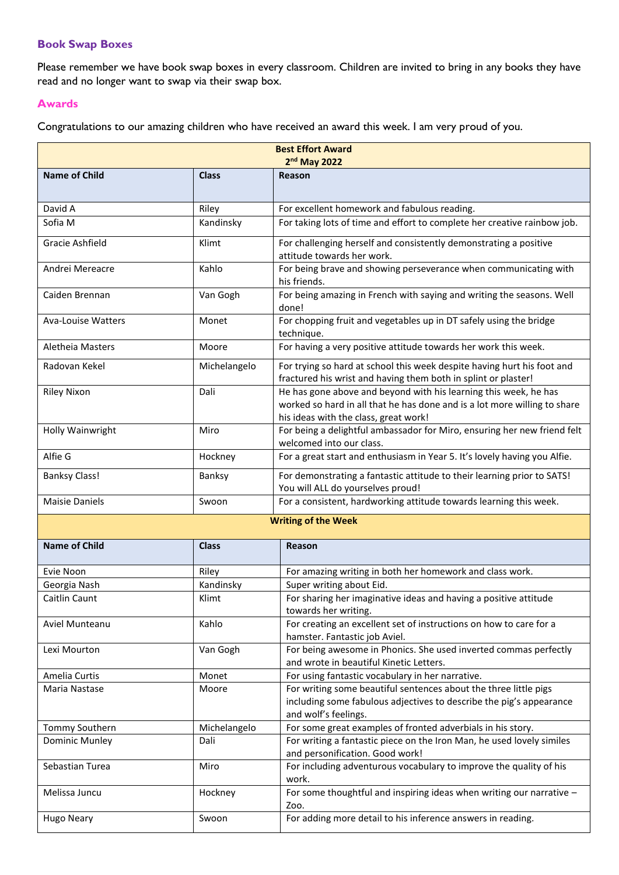# **Book Swap Boxes**

Please remember we have book swap boxes in every classroom. Children are invited to bring in any books they have read and no longer want to swap via their swap box.

#### **Awards**

Congratulations to our amazing children who have received an award this week. I am very proud of you.

| <b>Best Effort Award</b><br>2nd May 2022 |              |                                                                                                                                                                                        |  |
|------------------------------------------|--------------|----------------------------------------------------------------------------------------------------------------------------------------------------------------------------------------|--|
| <b>Name of Child</b>                     | <b>Class</b> | Reason                                                                                                                                                                                 |  |
| David A                                  | Riley        | For excellent homework and fabulous reading.                                                                                                                                           |  |
| Sofia M                                  | Kandinsky    | For taking lots of time and effort to complete her creative rainbow job.                                                                                                               |  |
| Gracie Ashfield                          | Klimt        | For challenging herself and consistently demonstrating a positive<br>attitude towards her work.                                                                                        |  |
| Andrei Mereacre                          | Kahlo        | For being brave and showing perseverance when communicating with<br>his friends.                                                                                                       |  |
| Caiden Brennan                           | Van Gogh     | For being amazing in French with saying and writing the seasons. Well<br>done!                                                                                                         |  |
| Ava-Louise Watters                       | Monet        | For chopping fruit and vegetables up in DT safely using the bridge<br>technique.                                                                                                       |  |
| Aletheia Masters                         | Moore        | For having a very positive attitude towards her work this week.                                                                                                                        |  |
| Radovan Kekel                            | Michelangelo | For trying so hard at school this week despite having hurt his foot and<br>fractured his wrist and having them both in splint or plaster!                                              |  |
| <b>Riley Nixon</b>                       | Dali         | He has gone above and beyond with his learning this week, he has<br>worked so hard in all that he has done and is a lot more willing to share<br>his ideas with the class, great work! |  |
| Holly Wainwright                         | Miro         | For being a delightful ambassador for Miro, ensuring her new friend felt<br>welcomed into our class.                                                                                   |  |
| Alfie G                                  | Hockney      | For a great start and enthusiasm in Year 5. It's lovely having you Alfie.                                                                                                              |  |
| <b>Banksy Class!</b>                     | Banksy       | For demonstrating a fantastic attitude to their learning prior to SATS!<br>You will ALL do yourselves proud!                                                                           |  |
| <b>Maisie Daniels</b>                    | Swoon        | For a consistent, hardworking attitude towards learning this week.                                                                                                                     |  |
| <b>Writing of the Week</b>               |              |                                                                                                                                                                                        |  |
| <b>Name of Child</b>                     | <b>Class</b> | Reason                                                                                                                                                                                 |  |
| Evie Noon                                | Riley        | For amazing writing in both her homework and class work.                                                                                                                               |  |
| Georgia Nash                             | Kandinsky    | Super writing about Eid.                                                                                                                                                               |  |
| Caitlin Caunt                            | Klimt        | For sharing her imaginative ideas and having a positive attitude<br>towards her writing.                                                                                               |  |
| Aviel Munteanu                           | Kahlo        | For creating an excellent set of instructions on how to care for a<br>hamster. Fantastic job Aviel.                                                                                    |  |
| Lexi Mourton                             | Van Gogh     | For being awesome in Phonics. She used inverted commas perfectly<br>and wrote in beautiful Kinetic Letters.                                                                            |  |
| Amelia Curtis                            | Monet        | For using fantastic vocabulary in her narrative.                                                                                                                                       |  |
| Maria Nastase                            | Moore        | For writing some beautiful sentences about the three little pigs<br>including some fabulous adjectives to describe the pig's appearance<br>and wolf's feelings.                        |  |
| Tommy Southern                           | Michelangelo | For some great examples of fronted adverbials in his story.                                                                                                                            |  |
| Dominic Munley                           | Dali         | For writing a fantastic piece on the Iron Man, he used lovely similes<br>and personification. Good work!                                                                               |  |
| Sebastian Turea                          | Miro         | For including adventurous vocabulary to improve the quality of his<br>work.                                                                                                            |  |
| Melissa Juncu                            | Hockney      | For some thoughtful and inspiring ideas when writing our narrative -<br>Zoo.                                                                                                           |  |
| <b>Hugo Neary</b>                        | Swoon        | For adding more detail to his inference answers in reading.                                                                                                                            |  |